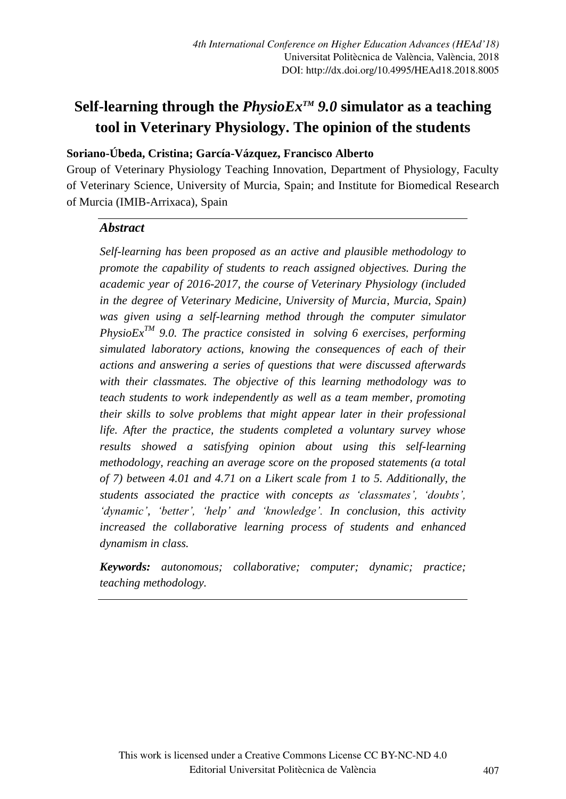# **Self-learning through the** *PhysioExTM 9.0* **simulator as a teaching tool in Veterinary Physiology. The opinion of the students**

# **Soriano-Úbeda, Cristina; García-Vázquez, Francisco Alberto**

Group of Veterinary Physiology Teaching Innovation, Department of Physiology, Faculty of Veterinary Science, University of Murcia, Spain; and Institute for Biomedical Research of Murcia (IMIB-Arrixaca), Spain

#### *Abstract*

*Self-learning has been proposed as an active and plausible methodology to promote the capability of students to reach assigned objectives. During the academic year of 2016-2017, the course of Veterinary Physiology (included in the degree of Veterinary Medicine, University of Murcia, Murcia, Spain) was given using a self-learning method through the computer simulator PhysioExTM 9.0. The practice consisted in solving 6 exercises, performing simulated laboratory actions, knowing the consequences of each of their actions and answering a series of questions that were discussed afterwards with their classmates. The objective of this learning methodology was to teach students to work independently as well as a team member, promoting their skills to solve problems that might appear later in their professional life. After the practice, the students completed a voluntary survey whose results showed a satisfying opinion about using this self-learning methodology, reaching an average score on the proposed statements (a total of 7) between 4.01 and 4.71 on a Likert scale from 1 to 5. Additionally, the students associated the practice with concepts as 'classmates', 'doubts', 'dynamic', 'better', 'help' and 'knowledge'. In conclusion, this activity increased the collaborative learning process of students and enhanced dynamism in class.*

*Keywords: autonomous; collaborative; computer; dynamic; practice; teaching methodology.*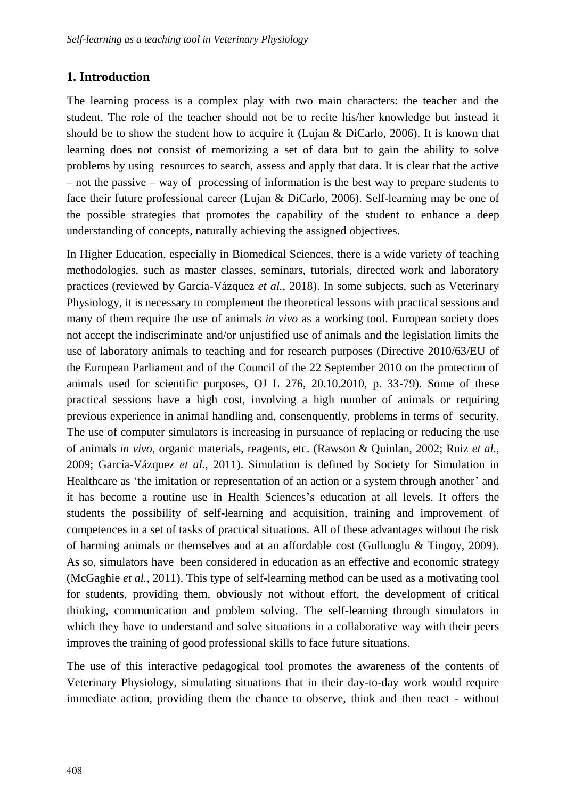## **1. Introduction**

The learning process is a complex play with two main characters: the teacher and the student. The role of the teacher should not be to recite his/her knowledge but instead it should be to show the student how to acquire it (Lujan & DiCarlo, 2006). It is known that learning does not consist of memorizing a set of data but to gain the ability to solve problems by using resources to search, assess and apply that data. It is clear that the active – not the passive – way of processing of information is the best way to prepare students to face their future professional career (Lujan & DiCarlo, 2006). Self-learning may be one of the possible strategies that promotes the capability of the student to enhance a deep understanding of concepts, naturally achieving the assigned objectives.

In Higher Education, especially in Biomedical Sciences, there is a wide variety of teaching methodologies, such as master classes, seminars, tutorials, directed work and laboratory practices (reviewed by García-Vázquez *et al.*, 2018). In some subjects, such as Veterinary Physiology, it is necessary to complement the theoretical lessons with practical sessions and many of them require the use of animals *in vivo* as a working tool. European society does not accept the indiscriminate and/or unjustified use of animals and the legislation limits the use of laboratory animals to teaching and for research purposes (Directive 2010/63/EU of the European Parliament and of the Council of the 22 September 2010 on the protection of animals used for scientific purposes, OJ L 276, 20.10.2010, p. 33-79). Some of these practical sessions have a high cost, involving a high number of animals or requiring previous experience in animal handling and, consenquently, problems in terms of security. The use of computer simulators is increasing in pursuance of replacing or reducing the use of animals *in vivo*, organic materials, reagents, etc. (Rawson & Quinlan, 2002; Ruiz *et al.*, 2009; García-Vázquez *et al.*, 2011). Simulation is defined by Society for Simulation in Healthcare as 'the imitation or representation of an action or a system through another' and it has become a routine use in Health Sciences's education at all levels. It offers the students the possibility of self-learning and acquisition, training and improvement of competences in a set of tasks of practical situations. All of these advantages without the risk of harming animals or themselves and at an affordable cost (Gulluoglu  $&$  Tingoy, 2009). As so, simulators have been considered in education as an effective and economic strategy (McGaghie *et al.*, 2011). This type of self-learning method can be used as a motivating tool for students, providing them, obviously not without effort, the development of critical thinking, communication and problem solving. The self-learning through simulators in which they have to understand and solve situations in a collaborative way with their peers improves the training of good professional skills to face future situations.

The use of this interactive pedagogical tool promotes the awareness of the contents of Veterinary Physiology, simulating situations that in their day-to-day work would require immediate action, providing them the chance to observe, think and then react - without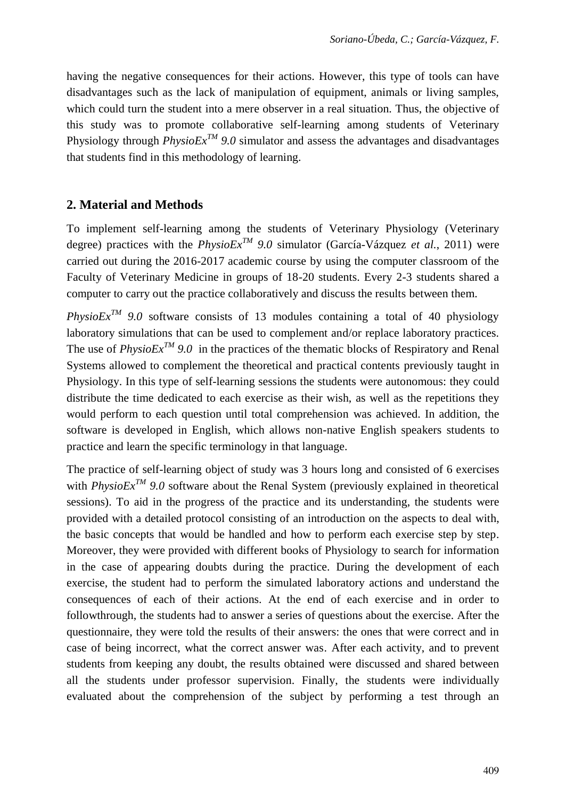having the negative consequences for their actions. However, this type of tools can have disadvantages such as the lack of manipulation of equipment, animals or living samples, which could turn the student into a mere observer in a real situation. Thus, the objective of this study was to promote collaborative self-learning among students of Veterinary Physiology through  $PhysioEx^{TM}$  9.0 simulator and assess the advantages and disadvantages that students find in this methodology of learning.

## **2. Material and Methods**

To implement self-learning among the students of Veterinary Physiology (Veterinary degree) practices with the  $PhysioEx^{TM}$  9.0 simulator (García-Vázquez *et al.*, 2011) were carried out during the 2016-2017 academic course by using the computer classroom of the Faculty of Veterinary Medicine in groups of 18-20 students. Every 2-3 students shared a computer to carry out the practice collaboratively and discuss the results between them.

*PhysioEx<sup>TM</sup>* 9.0 software consists of 13 modules containing a total of 40 physiology laboratory simulations that can be used to complement and/or replace laboratory practices. The use of *PhysioEx<sup>TM</sup>* 9.0 in the practices of the thematic blocks of Respiratory and Renal Systems allowed to complement the theoretical and practical contents previously taught in Physiology. In this type of self-learning sessions the students were autonomous: they could distribute the time dedicated to each exercise as their wish, as well as the repetitions they would perform to each question until total comprehension was achieved. In addition, the software is developed in English, which allows non-native English speakers students to practice and learn the specific terminology in that language.

The practice of self-learning object of study was 3 hours long and consisted of 6 exercises with *PhysioExTM 9.0* software about the Renal System (previously explained in theoretical sessions). To aid in the progress of the practice and its understanding, the students were provided with a detailed protocol consisting of an introduction on the aspects to deal with, the basic concepts that would be handled and how to perform each exercise step by step. Moreover, they were provided with different books of Physiology to search for information in the case of appearing doubts during the practice. During the development of each exercise, the student had to perform the simulated laboratory actions and understand the consequences of each of their actions. At the end of each exercise and in order to followthrough, the students had to answer a series of questions about the exercise. After the questionnaire, they were told the results of their answers: the ones that were correct and in case of being incorrect, what the correct answer was. After each activity, and to prevent students from keeping any doubt, the results obtained were discussed and shared between all the students under professor supervision. Finally, the students were individually evaluated about the comprehension of the subject by performing a test through an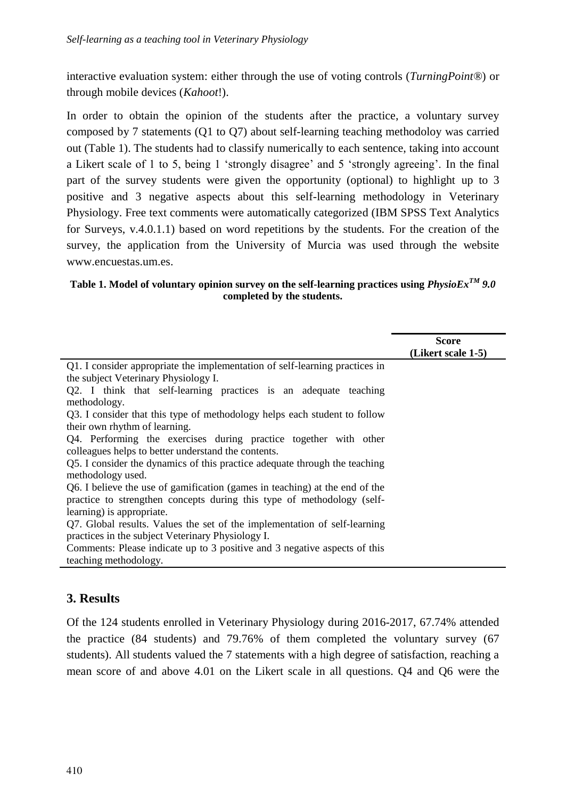interactive evaluation system: either through the use of voting controls (*TurningPoint®*) or through mobile devices (*Kahoot*!).

In order to obtain the opinion of the students after the practice, a voluntary survey composed by 7 statements (Q1 to Q7) about self-learning teaching methodoloy was carried out (Table 1). The students had to classify numerically to each sentence, taking into account a Likert scale of 1 to 5, being 1 'strongly disagree' and 5 'strongly agreeing'. In the final part of the survey students were given the opportunity (optional) to highlight up to 3 positive and 3 negative aspects about this self-learning methodology in Veterinary Physiology. Free text comments were automatically categorized (IBM SPSS Text Analytics for Surveys, v.4.0.1.1) based on word repetitions by the students. For the creation of the survey, the application from the University of Murcia was used through the website www.encuestas.um.es.

#### **Table 1. Model of voluntary opinion survey on the self-learning practices using** *PhysioExTM 9.0* **completed by the students.**

|                                                                             | Score              |
|-----------------------------------------------------------------------------|--------------------|
|                                                                             | (Likert scale 1-5) |
| Q1. I consider appropriate the implementation of self-learning practices in |                    |
| the subject Veterinary Physiology I.                                        |                    |
| Q2. I think that self-learning practices is an adequate teaching            |                    |
| methodology.                                                                |                    |
| Q3. I consider that this type of methodology helps each student to follow   |                    |
| their own rhythm of learning.                                               |                    |
| Q4. Performing the exercises during practice together with other            |                    |
| colleagues helps to better understand the contents.                         |                    |
| Q5. I consider the dynamics of this practice adequate through the teaching  |                    |
| methodology used.                                                           |                    |
| Q6. I believe the use of gamification (games in teaching) at the end of the |                    |
| practice to strengthen concepts during this type of methodology (self-      |                    |
| learning) is appropriate.                                                   |                    |
| Q7. Global results. Values the set of the implementation of self-learning   |                    |
| practices in the subject Veterinary Physiology I.                           |                    |
| Comments: Please indicate up to 3 positive and 3 negative aspects of this   |                    |
| teaching methodology.                                                       |                    |
|                                                                             |                    |

### **3. Results**

Of the 124 students enrolled in Veterinary Physiology during 2016-2017, 67.74% attended the practice (84 students) and 79.76% of them completed the voluntary survey (67 students). All students valued the 7 statements with a high degree of satisfaction, reaching a mean score of and above 4.01 on the Likert scale in all questions. Q4 and Q6 were the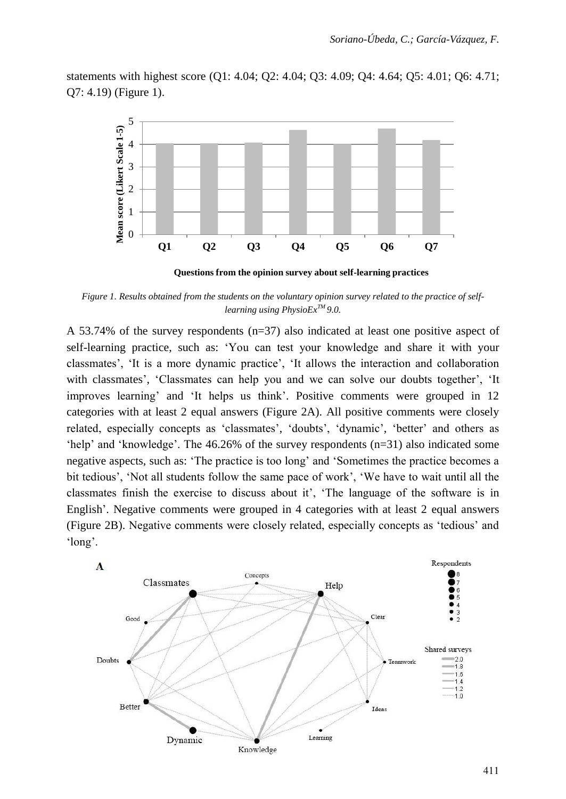statements with highest score (Q1: 4.04; Q2: 4.04; Q3: 4.09; Q4: 4.64; Q5: 4.01; Q6: 4.71; Q7: 4.19) (Figure 1).



**Questions from the opinion survey about self-learning practices**

*Figure 1. Results obtained from the students on the voluntary opinion survey related to the practice of selflearning using PhysioExTM 9.0.*

A 53.74% of the survey respondents (n=37) also indicated at least one positive aspect of self-learning practice, such as: 'You can test your knowledge and share it with your classmates', 'It is a more dynamic practice', 'It allows the interaction and collaboration with classmates', 'Classmates can help you and we can solve our doubts together', 'It improves learning' and 'It helps us think'. Positive comments were grouped in 12 categories with at least 2 equal answers (Figure 2A). All positive comments were closely related, especially concepts as 'classmates', 'doubts', 'dynamic', 'better' and others as 'help' and 'knowledge'. The 46.26% of the survey respondents (n=31) also indicated some negative aspects, such as: 'The practice is too long' and 'Sometimes the practice becomes a bit tedious', 'Not all students follow the same pace of work', 'We have to wait until all the classmates finish the exercise to discuss about it', 'The language of the software is in English'. Negative comments were grouped in 4 categories with at least 2 equal answers (Figure 2B). Negative comments were closely related, especially concepts as 'tedious' and 'long'.

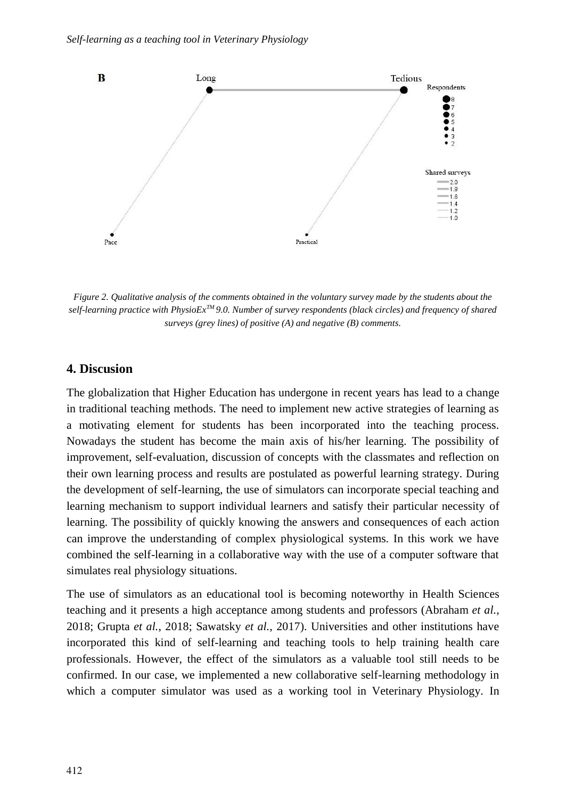

*Figure 2. Qualitative analysis of the comments obtained in the voluntary survey made by the students about the self-learning practice with PhysioExTM 9.0. Number of survey respondents (black circles) and frequency of shared surveys (grey lines) of positive (A) and negative (B) comments.* 

#### **4. Discusion**

The globalization that Higher Education has undergone in recent years has lead to a change in traditional teaching methods. The need to implement new active strategies of learning as a motivating element for students has been incorporated into the teaching process. Nowadays the student has become the main axis of his/her learning. The possibility of improvement, self-evaluation, discussion of concepts with the classmates and reflection on their own learning process and results are postulated as powerful learning strategy. During the development of self-learning, the use of simulators can incorporate special teaching and learning mechanism to support individual learners and satisfy their particular necessity of learning. The possibility of quickly knowing the answers and consequences of each action can improve the understanding of complex physiological systems. In this work we have combined the self-learning in a collaborative way with the use of a computer software that simulates real physiology situations.

The use of simulators as an educational tool is becoming noteworthy in Health Sciences teaching and it presents a high acceptance among students and professors (Abraham *et al.*, 2018; Grupta *et al.*, 2018; Sawatsky *et al.*, 2017). Universities and other institutions have incorporated this kind of self-learning and teaching tools to help training health care professionals. However, the effect of the simulators as a valuable tool still needs to be confirmed. In our case, we implemented a new collaborative self-learning methodology in which a computer simulator was used as a working tool in Veterinary Physiology. In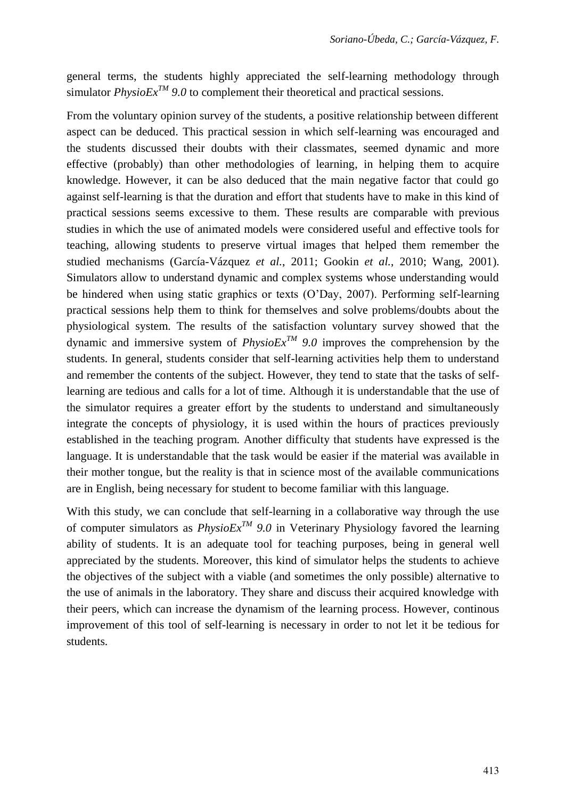general terms, the students highly appreciated the self-learning methodology through simulator *PhysioEx<sup>TM</sup>* 9.0 to complement their theoretical and practical sessions.

From the voluntary opinion survey of the students, a positive relationship between different aspect can be deduced. This practical session in which self-learning was encouraged and the students discussed their doubts with their classmates, seemed dynamic and more effective (probably) than other methodologies of learning, in helping them to acquire knowledge. However, it can be also deduced that the main negative factor that could go against self-learning is that the duration and effort that students have to make in this kind of practical sessions seems excessive to them. These results are comparable with previous studies in which the use of animated models were considered useful and effective tools for teaching, allowing students to preserve virtual images that helped them remember the studied mechanisms (García-Vázquez *et al.*, 2011; Gookin *et al.*, 2010; Wang, 2001). Simulators allow to understand dynamic and complex systems whose understanding would be hindered when using static graphics or texts (O'Day, 2007). Performing self-learning practical sessions help them to think for themselves and solve problems/doubts about the physiological system. The results of the satisfaction voluntary survey showed that the dynamic and immersive system of *PhysioEx<sup>TM</sup>* 9.0 improves the comprehension by the students. In general, students consider that self-learning activities help them to understand and remember the contents of the subject. However, they tend to state that the tasks of selflearning are tedious and calls for a lot of time. Although it is understandable that the use of the simulator requires a greater effort by the students to understand and simultaneously integrate the concepts of physiology, it is used within the hours of practices previously established in the teaching program. Another difficulty that students have expressed is the language. It is understandable that the task would be easier if the material was available in their mother tongue, but the reality is that in science most of the available communications are in English, being necessary for student to become familiar with this language.

With this study, we can conclude that self-learning in a collaborative way through the use of computer simulators as  $PhysioEx^{TM}$  9.0 in Veterinary Physiology favored the learning ability of students. It is an adequate tool for teaching purposes, being in general well appreciated by the students. Moreover, this kind of simulator helps the students to achieve the objectives of the subject with a viable (and sometimes the only possible) alternative to the use of animals in the laboratory. They share and discuss their acquired knowledge with their peers, which can increase the dynamism of the learning process. However, continous improvement of this tool of self-learning is necessary in order to not let it be tedious for students.